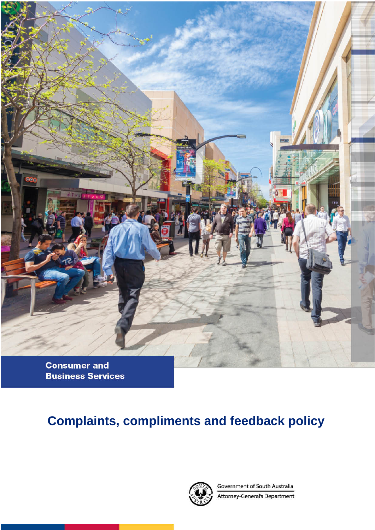

**Consumer and Business Services** 

# **Complaints, compliments and feedback policy**



Government of South Australia Attorney-General's Department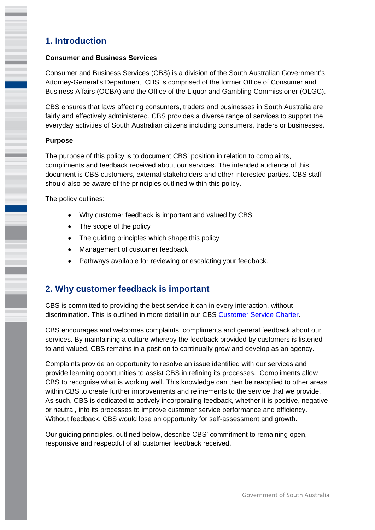# **1. Introduction**

### **Consumer and Business Services**

Consumer and Business Services (CBS) is a division of the South Australian Government's Attorney-General's Department. CBS is comprised of the former Office of Consumer and Business Affairs (OCBA) and the Office of the Liquor and Gambling Commissioner (OLGC).

CBS ensures that laws affecting consumers, traders and businesses in South Australia are fairly and effectively administered. CBS provides a diverse range of services to support the everyday activities of South Australian citizens including consumers, traders or businesses.

### **Purpose**

The purpose of this policy is to document CBS' position in relation to complaints, compliments and feedback received about our services. The intended audience of this document is CBS customers, external stakeholders and other interested parties. CBS staff should also be aware of the principles outlined within this policy.

The policy outlines:

- Why customer feedback is important and valued by CBS
- The scope of the policy
- The quiding principles which shape this policy
- Management of customer feedback
- Pathways available for reviewing or escalating your feedback.

# **2. Why customer feedback is important**

CBS is committed to providing the best service it can in every interaction, without discrimination. This is outlined in more detail in our CBS Customer Service Charter.

CBS encourages and welcomes complaints, compliments and general feedback about our services. By maintaining a culture whereby the feedback provided by customers is listened to and valued, CBS remains in a position to continually grow and develop as an agency.

Complaints provide an opportunity to resolve an issue identified with our services and provide learning opportunities to assist CBS in refining its processes. Compliments allow CBS to recognise what is working well. This knowledge can then be reapplied to other areas within CBS to create further improvements and refinements to the service that we provide. As such, CBS is dedicated to actively incorporating feedback, whether it is positive, negative or neutral, into its processes to improve customer service performance and efficiency. Without feedback, CBS would lose an opportunity for self-assessment and growth.

Our guiding principles, outlined below, describe CBS' commitment to remaining open, responsive and respectful of all customer feedback received.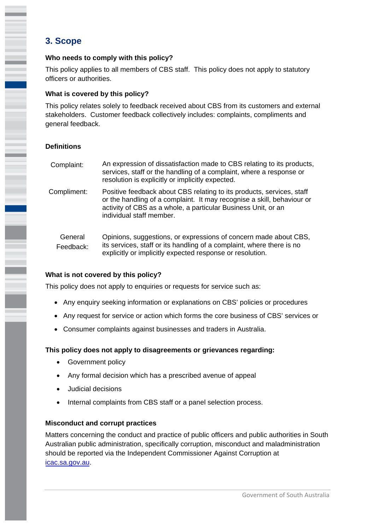# **3. Scope**

I

### **Who needs to comply with this policy?**

This policy applies to all members of CBS staff. This policy does not apply to statutory officers or authorities.

### **What is covered by this policy?**

This policy relates solely to feedback received about CBS from its customers and external stakeholders. Customer feedback collectively includes: complaints, compliments and general feedback.

### **Definitions**

| Complaint:           | An expression of dissatisfaction made to CBS relating to its products,<br>services, staff or the handling of a complaint, where a response or<br>resolution is explicitly or implicitly expected.                                            |
|----------------------|----------------------------------------------------------------------------------------------------------------------------------------------------------------------------------------------------------------------------------------------|
| Compliment:          | Positive feedback about CBS relating to its products, services, staff<br>or the handling of a complaint. It may recognise a skill, behaviour or<br>activity of CBS as a whole, a particular Business Unit, or an<br>individual staff member. |
| General<br>Feedback: | Opinions, suggestions, or expressions of concern made about CBS,<br>its services, staff or its handling of a complaint, where there is no                                                                                                    |

explicitly or implicitly expected response or resolution.

### **What is not covered by this policy?**

This policy does not apply to enquiries or requests for service such as:

- Any enquiry seeking information or explanations on CBS' policies or procedures
- Any request for service or action which forms the core business of CBS' services or
- Consumer complaints against businesses and traders in Australia.

### **This policy does not apply to disagreements or grievances regarding:**

- Government policy
- Any formal decision which has a prescribed avenue of appeal
- Judicial decisions
- Internal complaints from CBS staff or a panel selection process.

### **Misconduct and corrupt practices**

Matters concerning the conduct and practice of public officers and public authorities in South Australian public administration, specifically corruption, misconduct and maladministration should be reported via the Independent Commissioner Against Corruption at icac.sa.gov.au.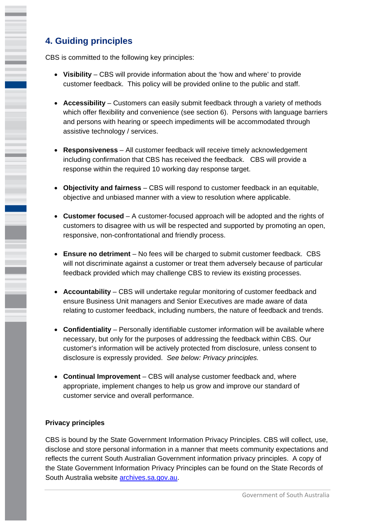# **4. Guiding principles**

ī

CBS is committed to the following key principles:

- **Visibility** CBS will provide information about the 'how and where' to provide customer feedback. This policy will be provided online to the public and staff.
- **Accessibility** Customers can easily submit feedback through a variety of methods which offer flexibility and convenience (see section 6). Persons with language barriers and persons with hearing or speech impediments will be accommodated through assistive technology / services.
- **Responsiveness** All customer feedback will receive timely acknowledgement including confirmation that CBS has received the feedback. CBS will provide a response within the required 10 working day response target.
- **Objectivity and fairness**  CBS will respond to customer feedback in an equitable, objective and unbiased manner with a view to resolution where applicable.
- **Customer focused**  A customer-focused approach will be adopted and the rights of customers to disagree with us will be respected and supported by promoting an open, responsive, non-confrontational and friendly process.
- feedback provided which may challenge CBS to review its existing processes. **Ensure no detriment** – No fees will be charged to submit customer feedback. CBS will not discriminate against a customer or treat them adversely because of particular
- **Accountability**  CBS will undertake regular monitoring of customer feedback and ensure Business Unit managers and Senior Executives are made aware of data relating to customer feedback, including numbers, the nature of feedback and trends.
- **Confidentiality** Personally identifiable customer information will be available where necessary, but only for the purposes of addressing the feedback within CBS. Our customer's information will be actively protected from disclosure, unless consent to disclosure is expressly provided. *See below: Privacy principles.*
- **Continual Improvement** CBS will analyse customer feedback and, where appropriate, implement changes to help us grow and improve our standard of customer service and overall performance.

### **Privacy principles**

CBS is bound by the State Government Information Privacy Principles. CBS will collect, use, disclose and store personal information in a manner that meets community expectations and reflects the current South Australian Government information privacy principles. A copy of the State Government Information Privacy Principles can be found on the State Records of South Australia website archives.sa.gov.au.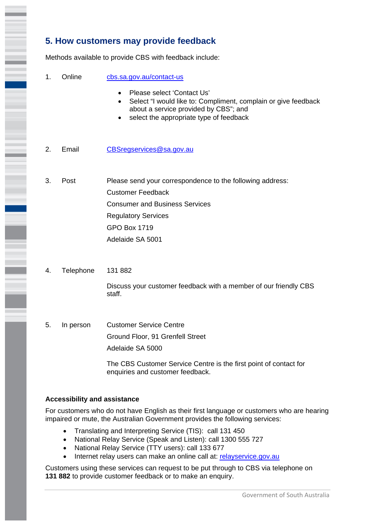# **5. How customers may provide feedback**

Methods available to provide CBS with feedback include:

- 1. Online cbs.sa.gov.au/contact-us
	- Please select 'Contact Us'
	- Select "I would like to: Compliment, complain or give feedback about a service provided by CBS"; and
	- select the appropriate type of feedback
- 2. Email CBSregservices@sa.gov.au
- 3. Post Please send your correspondence to the following address: Customer Feedback Consumer and Business Services Regulatory Services GPO Box 1719 Adelaide SA 5001
- 4. Telephone 131 882

Discuss your customer feedback with a member of our friendly CBS staff.

5. In person Customer Service Centre Ground Floor, 91 Grenfell Street Adelaide SA 5000

> The CBS Customer Service Centre is the first point of contact for enquiries and customer feedback.

#### **Accessibility and assistance**

For customers who do not have English as their first language or customers who are hearing impaired or mute, the Australian Government provides the following services:

- Translating and Interpreting Service (TIS): call 131 450
- National Relay Service (Speak and Listen): call 1300 555 727
- National Relay Service (TTY users): call 133 677
- Internet relay users can make an online call at: relayservice.gov.au

 Customers using these services can request to be put through to CBS via telephone on **131 882** to provide customer feedback or to make an enquiry.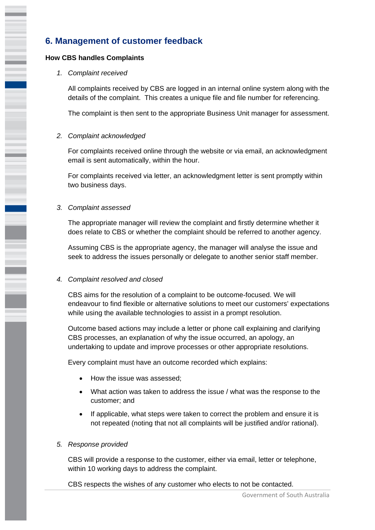# **6. Management of customer feedback**

#### **How CBS handles Complaints**

#### *1. Complaint received*

All complaints received by CBS are logged in an internal online system along with the details of the complaint. This creates a unique file and file number for referencing.

The complaint is then sent to the appropriate Business Unit manager for assessment.

#### *2. Complaint acknowledged*

 $\overline{a}$ 

For complaints received online through the website or via email, an acknowledgment email is sent automatically, within the hour.

For complaints received via letter, an acknowledgment letter is sent promptly within two business days.

#### *3. Complaint assessed*

The appropriate manager will review the complaint and firstly determine whether it does relate to CBS or whether the complaint should be referred to another agency.

Assuming CBS is the appropriate agency, the manager will analyse the issue and seek to address the issues personally or delegate to another senior staff member.

#### *4. Complaint resolved and closed*

CBS aims for the resolution of a complaint to be outcome-focused. We will endeavour to find flexible or alternative solutions to meet our customers' expectations while using the available technologies to assist in a prompt resolution.

Outcome based actions may include a letter or phone call explaining and clarifying CBS processes, an explanation of why the issue occurred, an apology, an undertaking to update and improve processes or other appropriate resolutions.

Every complaint must have an outcome recorded which explains:

- How the issue was assessed;
- What action was taken to address the issue / what was the response to the customer; and
- If applicable, what steps were taken to correct the problem and ensure it is not repeated (noting that not all complaints will be justified and/or rational).

#### *5. Response provided*

 within 10 working days to address the complaint. CBS will provide a response to the customer, either via email, letter or telephone,

CBS respects the wishes of any customer who elects to not be contacted.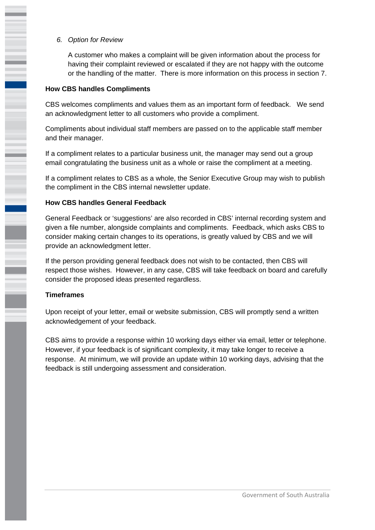*6. Option for Review*

A customer who makes a complaint will be given information about the process for having their complaint reviewed or escalated if they are not happy with the outcome or the handling of the matter. There is more information on this process in section 7.

#### **How CBS handles Compliments**

 $\overline{a}$ 

i

CBS welcomes compliments and values them as an important form of feedback. We send an acknowledgment letter to all customers who provide a compliment.

Compliments about individual staff members are passed on to the applicable staff member and their manager.

If a compliment relates to a particular business unit, the manager may send out a group email congratulating the business unit as a whole or raise the compliment at a meeting.

If a compliment relates to CBS as a whole, the Senior Executive Group may wish to publish the compliment in the CBS internal newsletter update.

#### **How CBS handles General Feedback**

General Feedback or 'suggestions' are also recorded in CBS' internal recording system and given a file number, alongside complaints and compliments. Feedback, which asks CBS to consider making certain changes to its operations, is greatly valued by CBS and we will provide an acknowledgment letter.

If the person providing general feedback does not wish to be contacted, then CBS will respect those wishes. However, in any case, CBS will take feedback on board and carefully consider the proposed ideas presented regardless.

#### **Timeframes**

Upon receipt of your letter, email or website submission, CBS will promptly send a written acknowledgement of your feedback.

CBS aims to provide a response within 10 working days either via email, letter or telephone. However, if your feedback is of significant complexity, it may take longer to receive a response. At minimum, we will provide an update within 10 working days, advising that the feedback is still undergoing assessment and consideration.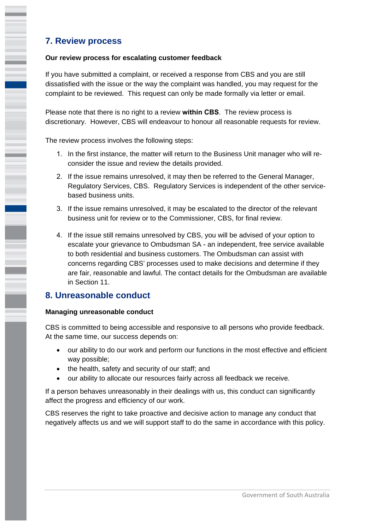# **7. Review process**

### **Our review process for escalating customer feedback**

If you have submitted a complaint, or received a response from CBS and you are still dissatisfied with the issue or the way the complaint was handled, you may request for the complaint to be reviewed. This request can only be made formally via letter or email.

Please note that there is no right to a review **within CBS**. The review process is discretionary. However, CBS will endeavour to honour all reasonable requests for review.

The review process involves the following steps:

- 1. In the first instance, the matter will return to the Business Unit manager who will reconsider the issue and review the details provided.
- 2. If the issue remains unresolved, it may then be referred to the General Manager, Regulatory Services, CBS. Regulatory Services is independent of the other servicebased business units.
- 3. If the issue remains unresolved, it may be escalated to the director of the relevant business unit for review or to the Commissioner, CBS, for final review.
- 4. If the issue still remains unresolved by CBS, you will be advised of your option to escalate your grievance to Ombudsman SA - an independent, free service available to both residential and business customers. The Ombudsman can assist with concerns regarding CBS' processes used to make decisions and determine if they are fair, reasonable and lawful. The contact details for the Ombudsman are available in Section 11.

### **8. Unreasonable conduct**

### **Managing unreasonable conduct**

CBS is committed to being accessible and responsive to all persons who provide feedback. At the same time, our success depends on:

- our ability to do our work and perform our functions in the most effective and efficient way possible;
- the health, safety and security of our staff; and
- our ability to allocate our resources fairly across all feedback we receive.

If a person behaves unreasonably in their dealings with us, this conduct can significantly affect the progress and efficiency of our work.

CBS reserves the right to take proactive and decisive action to manage any conduct that negatively affects us and we will support staff to do the same in accordance with this policy.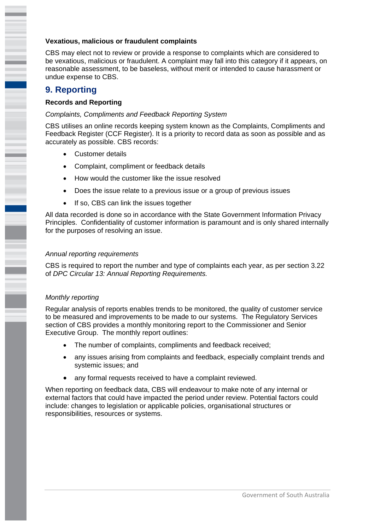#### **Vexatious, malicious or fraudulent complaints**

CBS may elect not to review or provide a response to complaints which are considered to be vexatious, malicious or fraudulent. A complaint may fall into this category if it appears, on reasonable assessment, to be baseless, without merit or intended to cause harassment or undue expense to CBS.

# **9. Reporting**

ī

### **Records and Reporting**

#### *Complaints, Compliments and Feedback Reporting System*

CBS utilises an online records keeping system known as the Complaints, Compliments and Feedback Register (CCF Register). It is a priority to record data as soon as possible and as accurately as possible. CBS records:

- Customer details
- Complaint, compliment or feedback details
- How would the customer like the issue resolved
- Does the issue relate to a previous issue or a group of previous issues
- If so, CBS can link the issues together

All data recorded is done so in accordance with the State Government Information Privacy Principles. Confidentiality of customer information is paramount and is only shared internally for the purposes of resolving an issue.

#### *Annual reporting requirements*

CBS is required to report the number and type of complaints each year, as per section 3.22 of *DPC Circular 13: Annual Reporting Requirements.* 

### *Monthly reporting*

Regular analysis of reports enables trends to be monitored, the quality of customer service to be measured and improvements to be made to our systems. The Regulatory Services section of CBS provides a monthly monitoring report to the Commissioner and Senior Executive Group. The monthly report outlines:

- The number of complaints, compliments and feedback received;
- any issues arising from complaints and feedback, especially complaint trends and systemic issues; and
- any formal requests received to have a complaint reviewed.

When reporting on feedback data, CBS will endeavour to make note of any internal or external factors that could have impacted the period under review. Potential factors could include: changes to legislation or applicable policies, organisational structures or responsibilities, resources or systems.